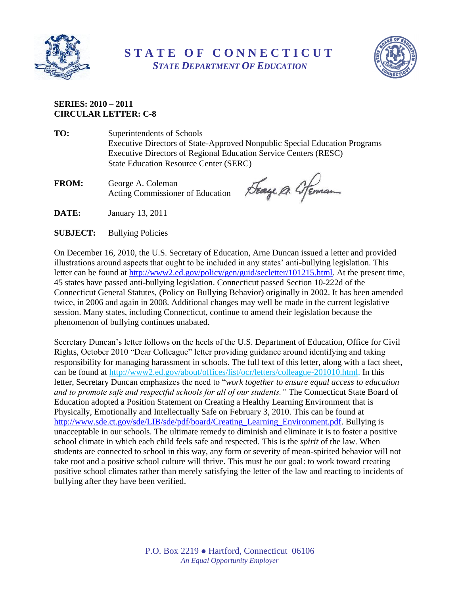



## **SERIES: 2010 – 2011 CIRCULAR LETTER: C-8**

- **TO:** Superintendents of Schools Executive Directors of State-Approved Nonpublic Special Education Programs Executive Directors of Regional Education Service Centers (RESC) State Education Resource Center (SERC)
- **FROM:** George A. Coleman Acting Commissioner of Education

Seage A. Steman

- **DATE:** January 13, 2011
- **SUBJECT:** Bullying Policies

On December 16, 2010, the U.S. Secretary of Education, Arne Duncan issued a letter and provided illustrations around aspects that ought to be included in any states' anti-bullying legislation. This letter can be found at [http://www2.ed.gov/policy/gen/guid/secletter/101215.html.](http://www2.ed.gov/policy/gen/guid/secletter/101215.html) At the present time, 45 states have passed anti-bullying legislation. Connecticut passed Section 10-222d of the Connecticut General Statutes, (Policy on Bullying Behavior) originally in 2002. It has been amended twice, in 2006 and again in 2008. Additional changes may well be made in the current legislative session. Many states, including Connecticut, continue to amend their legislation because the phenomenon of bullying continues unabated.

Secretary Duncan's letter follows on the heels of the U.S. Department of Education, Office for Civil Rights, October 2010 "Dear Colleague" letter providing guidance around identifying and taking responsibility for managing harassment in schools. The full text of this letter, along with a fact sheet, can be found at [http://www2.ed.gov/about/offices/list/ocr/letters/colleague-201010.html.](http://www2.ed.gov/about/offices/list/ocr/letters/colleague-201010.html) In this letter, Secretary Duncan emphasizes the need to "*work together to ensure equal access to education and to promote safe and respectful schools for all of our students."* The Connecticut State Board of Education adopted a Position Statement on Creating a Healthy Learning Environment that is Physically, Emotionally and Intellectually Safe on February 3, 2010. This can be found at [http://www.sde.ct.gov/sde/LIB/sde/pdf/board/Creating\\_Learning\\_Environment.pdf.](http://www.sde.ct.gov/sde/LIB/sde/pdf/board/Creating_Learning_Environment.pdf) Bullying is unacceptable in our schools. The ultimate remedy to diminish and eliminate it is to foster a positive school climate in which each child feels safe and respected. This is the *spirit* of the law. When students are connected to school in this way, any form or severity of mean-spirited behavior will not take root and a positive school culture will thrive. This must be our goal: to work toward creating positive school climates rather than merely satisfying the letter of the law and reacting to incidents of bullying after they have been verified.